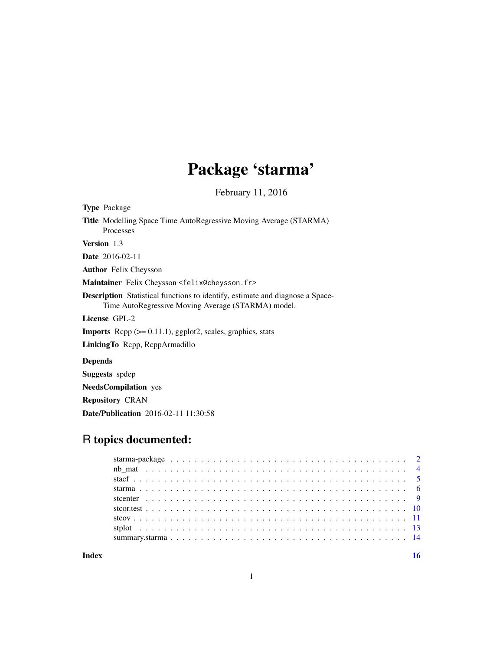# Package 'starma'

February 11, 2016

<span id="page-0-0"></span>

| <b>Type Package</b>                                                                                                                        |
|--------------------------------------------------------------------------------------------------------------------------------------------|
| <b>Title</b> Modelling Space Time AutoRegressive Moving Average (STARMA)<br><b>Processes</b>                                               |
| Version 1.3                                                                                                                                |
| <b>Date</b> 2016-02-11                                                                                                                     |
| <b>Author</b> Felix Cheysson                                                                                                               |
| Maintainer Felix Cheysson <felix@cheysson.fr></felix@cheysson.fr>                                                                          |
| <b>Description</b> Statistical functions to identify, estimate and diagnose a Space-<br>Time AutoRegressive Moving Average (STARMA) model. |
| License GPL-2                                                                                                                              |
| <b>Imports</b> Repp $(>= 0.11.1)$ , ggplot2, scales, graphics, stats                                                                       |
| Linking To Repp, ReppArmadillo                                                                                                             |
| <b>Depends</b>                                                                                                                             |
| <b>Suggests</b> spdep                                                                                                                      |
| <b>NeedsCompilation</b> yes                                                                                                                |
| <b>Repository CRAN</b>                                                                                                                     |
| <b>Date/Publication</b> 2016-02-11 11:30:58                                                                                                |

## R topics documented:

**Index** the contract of the contract of the contract of the contract of the contract of the contract of the contract of the contract of the contract of the contract of the contract of the contract of the contract of the co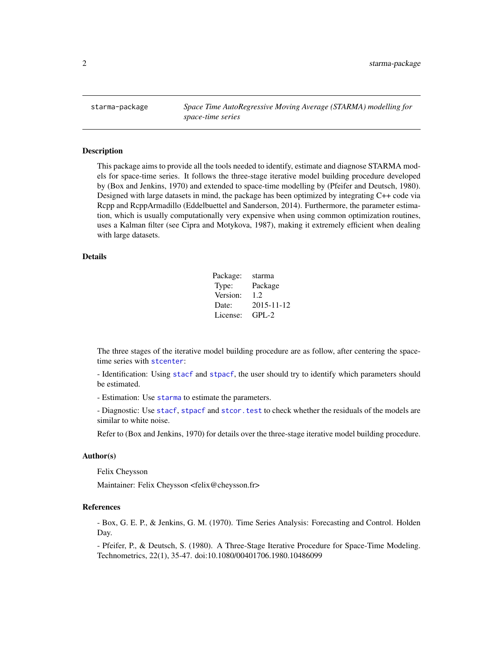<span id="page-1-1"></span><span id="page-1-0"></span>starma-package *Space Time AutoRegressive Moving Average (STARMA) modelling for space-time series*

#### Description

This package aims to provide all the tools needed to identify, estimate and diagnose STARMA models for space-time series. It follows the three-stage iterative model building procedure developed by (Box and Jenkins, 1970) and extended to space-time modelling by (Pfeifer and Deutsch, 1980). Designed with large datasets in mind, the package has been optimized by integrating C++ code via Rcpp and RcppArmadillo (Eddelbuettel and Sanderson, 2014). Furthermore, the parameter estimation, which is usually computationally very expensive when using common optimization routines, uses a Kalman filter (see Cipra and Motykova, 1987), making it extremely efficient when dealing with large datasets.

## Details

| Package: | starma     |
|----------|------------|
| Type:    | Package    |
| Version: | 1.2        |
| Date:    | 2015-11-12 |
| License: | $GPI - 2$  |

The three stages of the iterative model building procedure are as follow, after centering the spacetime series with [stcenter](#page-8-1):

- Identification: Using [stacf](#page-4-1) and [stpacf](#page-4-2), the user should try to identify which parameters should be estimated.

- Estimation: Use [starma](#page-5-1) to estimate the parameters.

- Diagnostic: Use [stacf](#page-4-1), [stpacf](#page-4-2) and [stcor.test](#page-9-1) to check whether the residuals of the models are similar to white noise.

Refer to (Box and Jenkins, 1970) for details over the three-stage iterative model building procedure.

## Author(s)

Felix Cheysson

Maintainer: Felix Cheysson <felix@cheysson.fr>

#### References

- Box, G. E. P., & Jenkins, G. M. (1970). Time Series Analysis: Forecasting and Control. Holden Day.

- Pfeifer, P., & Deutsch, S. (1980). A Three-Stage Iterative Procedure for Space-Time Modeling. Technometrics, 22(1), 35-47. doi:10.1080/00401706.1980.10486099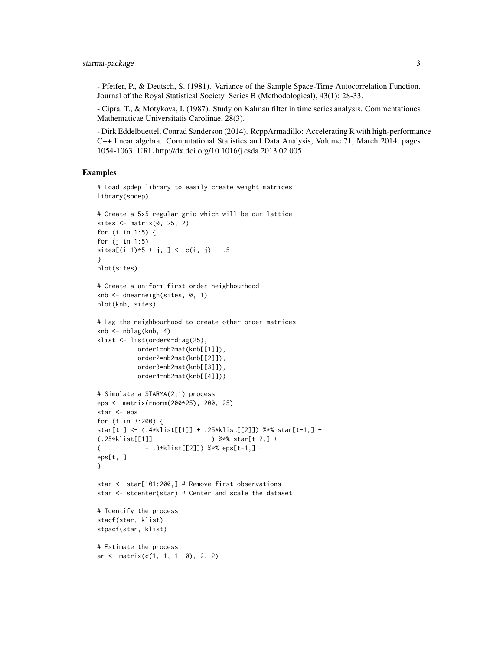- Pfeifer, P., & Deutsch, S. (1981). Variance of the Sample Space-Time Autocorrelation Function. Journal of the Royal Statistical Society. Series B (Methodological), 43(1): 28-33.

- Cipra, T., & Motykova, I. (1987). Study on Kalman filter in time series analysis. Commentationes Mathematicae Universitatis Carolinae, 28(3).

- Dirk Eddelbuettel, Conrad Sanderson (2014). RcppArmadillo: Accelerating R with high-performance C++ linear algebra. Computational Statistics and Data Analysis, Volume 71, March 2014, pages 1054-1063. URL http://dx.doi.org/10.1016/j.csda.2013.02.005

### Examples

```
# Load spdep library to easily create weight matrices
library(spdep)
# Create a 5x5 regular grid which will be our lattice
sites \leq matrix(0, 25, 2)
for (i in 1:5) {
for (j in 1:5)
sites[(i-1)*5 + j, ] \leq c(i, j) - .5}
plot(sites)
# Create a uniform first order neighbourhood
knb <- dnearneigh(sites, 0, 1)
plot(knb, sites)
# Lag the neighbourhood to create other order matrices
knb \leq -nblag(knb, 4)klist <- list(order0=diag(25),
          order1=nb2mat(knb[[1]]),
           order2=nb2mat(knb[[2]]),
          order3=nb2mat(knb[[3]]),
           order4=nb2mat(knb[[4]]))
# Simulate a STARMA(2;1) process
eps <- matrix(rnorm(200*25), 200, 25)
star <- eps
for (t in 3:200) {
star[t,] <- (.4*klist[[1]] + .25*klist[[2]]) %*% star[t-1,] +
(.25*klist[[1]] ) %*% star[t-2,] +
( - .3*klist[[2]]) %*% eps[t-1,] +
eps[t, ]
}
star <- star[101:200,] # Remove first observations
star <- stcenter(star) # Center and scale the dataset
# Identify the process
stacf(star, klist)
stpacf(star, klist)
# Estimate the process
ar \leq matrix(c(1, 1, 1, 0), 2, 2)
```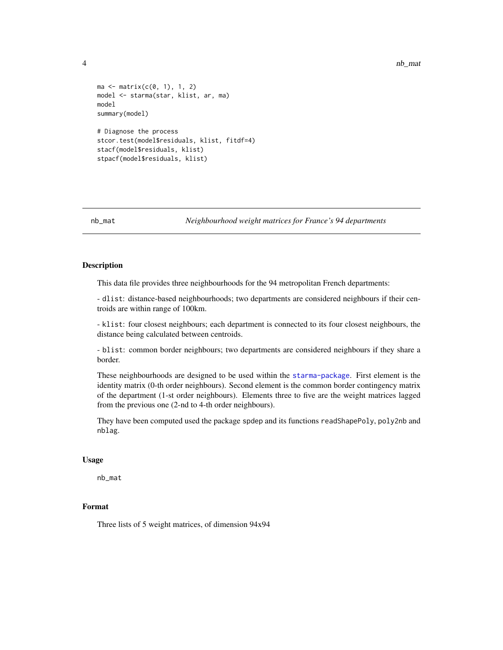```
ma \leq -\text{matrix}(c(0, 1), 1, 2)model <- starma(star, klist, ar, ma)
model
summary(model)
# Diagnose the process
stcor.test(model$residuals, klist, fitdf=4)
stacf(model$residuals, klist)
stpacf(model$residuals, klist)
```
nb\_mat *Neighbourhood weight matrices for France's 94 departments*

## Description

This data file provides three neighbourhoods for the 94 metropolitan French departments:

- dlist: distance-based neighbourhoods; two departments are considered neighbours if their centroids are within range of 100km.

- klist: four closest neighbours; each department is connected to its four closest neighbours, the distance being calculated between centroids.

- blist: common border neighbours; two departments are considered neighbours if they share a border.

These neighbourhoods are designed to be used within the [starma-package](#page-1-1). First element is the identity matrix (0-th order neighbours). Second element is the common border contingency matrix of the department (1-st order neighbours). Elements three to five are the weight matrices lagged from the previous one (2-nd to 4-th order neighbours).

They have been computed used the package spdep and its functions readShapePoly, poly2nb and nblag.

#### Usage

nb\_mat

## Format

Three lists of 5 weight matrices, of dimension 94x94

<span id="page-3-0"></span>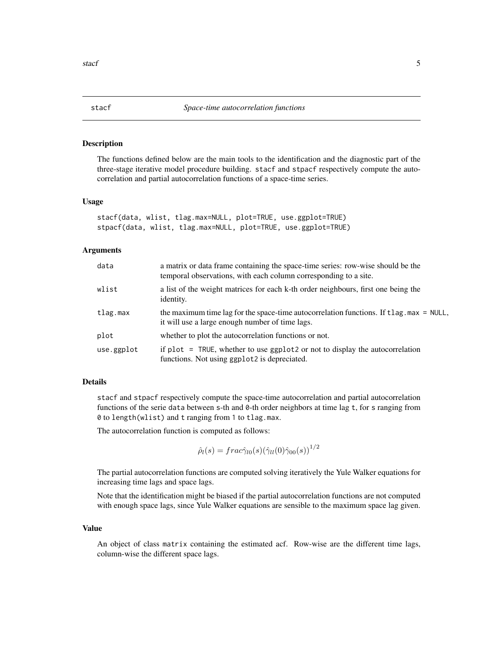<span id="page-4-1"></span><span id="page-4-0"></span>

### <span id="page-4-2"></span>Description

The functions defined below are the main tools to the identification and the diagnostic part of the three-stage iterative model procedure building. stacf and stpacf respectively compute the autocorrelation and partial autocorrelation functions of a space-time series.

#### Usage

```
stacf(data, wlist, tlag.max=NULL, plot=TRUE, use.ggplot=TRUE)
stpacf(data, wlist, tlag.max=NULL, plot=TRUE, use.ggplot=TRUE)
```
#### Arguments

| data       | a matrix or data frame containing the space-time series: row-wise should be the<br>temporal observations, with each column corresponding to a site.     |
|------------|---------------------------------------------------------------------------------------------------------------------------------------------------------|
| wlist      | a list of the weight matrices for each k-th order neighbours, first one being the<br>identity.                                                          |
| tlag.max   | the maximum time lag for the space-time autocorrelation functions. If $t \log_{10} m\alpha = NULL$ ,<br>it will use a large enough number of time lags. |
| plot       | whether to plot the autocorrelation functions or not.                                                                                                   |
| use.ggplot | if $plot = TRUE$ , whether to use $ggplot2$ or not to display the autocorrelation<br>functions. Not using ggplot2 is depreciated.                       |

## Details

stacf and stpacf respectively compute the space-time autocorrelation and partial autocorrelation functions of the serie data between s-th and 0-th order neighbors at time lag t, for s ranging from 0 to length(wlist) and t ranging from 1 to tlag.max.

The autocorrelation function is computed as follows:

$$
\hat{\rho}_l(s) = frac{\hat{\gamma}_{l0}(s)(\hat{\gamma}_{ll}(0)\hat{\gamma}_{00}(s))}^{1/2}
$$

The partial autocorrelation functions are computed solving iteratively the Yule Walker equations for increasing time lags and space lags.

Note that the identification might be biased if the partial autocorrelation functions are not computed with enough space lags, since Yule Walker equations are sensible to the maximum space lag given.

#### Value

An object of class matrix containing the estimated acf. Row-wise are the different time lags, column-wise the different space lags.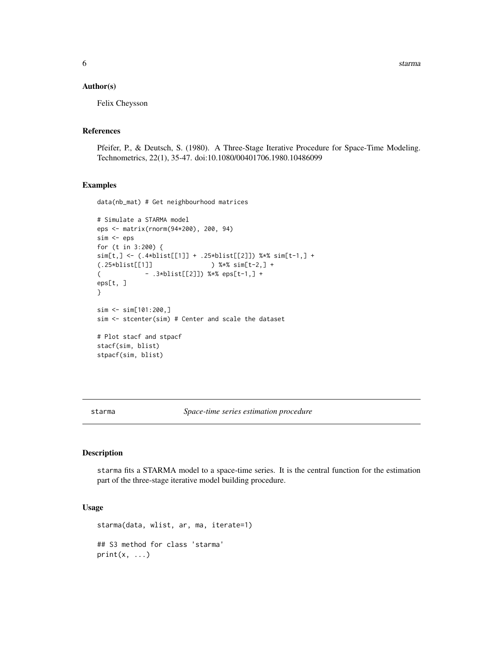<span id="page-5-0"></span>6 starma and the starting of the starting of the starting starting starting starting starting starting starting starting starting starting starting starting starting starting starting starting starting starting starting st

#### Author(s)

Felix Cheysson

## References

Pfeifer, P., & Deutsch, S. (1980). A Three-Stage Iterative Procedure for Space-Time Modeling. Technometrics, 22(1), 35-47. doi:10.1080/00401706.1980.10486099

## Examples

data(nb\_mat) # Get neighbourhood matrices

```
# Simulate a STARMA model
eps <- matrix(rnorm(94*200), 200, 94)
sim <- eps
for (t in 3:200) {
sim[t,] <- (.4*blist[[1]] + .25*blist[[2]]) %*% sim[t-1,] +
(.25*blist[[1]] ) %*% sim[t-2,] +
( - .3*blist[[2]]) %*% eps[t-1,] +
eps[t, ]
}
sim <- sim[101:200,]
sim <- stcenter(sim) # Center and scale the dataset
# Plot stacf and stpacf
stacf(sim, blist)
stpacf(sim, blist)
```
<span id="page-5-1"></span>starma *Space-time series estimation procedure*

## Description

starma fits a STARMA model to a space-time series. It is the central function for the estimation part of the three-stage iterative model building procedure.

### Usage

```
starma(data, wlist, ar, ma, iterate=1)
## S3 method for class 'starma'
print(x, \ldots)
```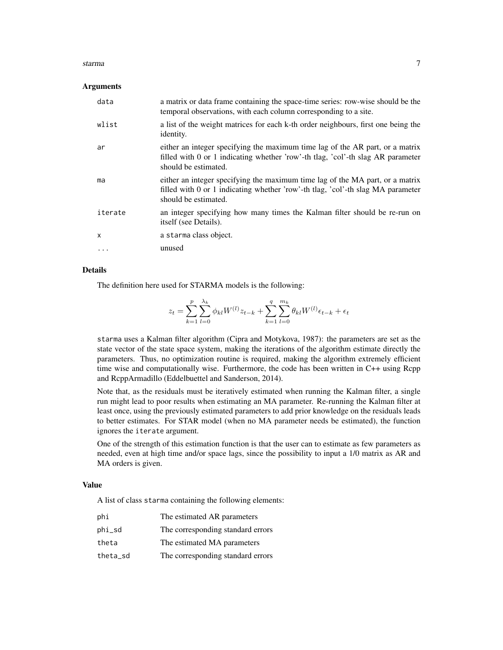#### starma and the starma of the starting of the starting of the starting of the starting  $\sim$  7

#### Arguments

| data    | a matrix or data frame containing the space-time series: row-wise should be the<br>temporal observations, with each column corresponding to a site.                                      |
|---------|------------------------------------------------------------------------------------------------------------------------------------------------------------------------------------------|
| wlist   | a list of the weight matrices for each k-th order neighbours, first one being the<br>identity.                                                                                           |
| ar      | either an integer specifying the maximum time lag of the AR part, or a matrix<br>filled with 0 or 1 indicating whether 'row'-th tlag, 'col'-th slag AR parameter<br>should be estimated. |
| ma      | either an integer specifying the maximum time lag of the MA part, or a matrix<br>filled with 0 or 1 indicating whether 'row'-th tlag, 'col'-th slag MA parameter<br>should be estimated. |
| iterate | an integer specifying how many times the Kalman filter should be re-run on<br>itself (see Details).                                                                                      |
| X       | a starma class object.                                                                                                                                                                   |
| .       | unused                                                                                                                                                                                   |

## Details

The definition here used for STARMA models is the following:

$$
z_{t} = \sum_{k=1}^{p} \sum_{l=0}^{\lambda_{k}} \phi_{kl} W^{(l)} z_{t-k} + \sum_{k=1}^{q} \sum_{l=0}^{m_{k}} \theta_{kl} W^{(l)} \epsilon_{t-k} + \epsilon_{t}
$$

starma uses a Kalman filter algorithm (Cipra and Motykova, 1987): the parameters are set as the state vector of the state space system, making the iterations of the algorithm estimate directly the parameters. Thus, no optimization routine is required, making the algorithm extremely efficient time wise and computationally wise. Furthermore, the code has been written in C++ using Rcpp and RcppArmadillo (Eddelbuettel and Sanderson, 2014).

Note that, as the residuals must be iteratively estimated when running the Kalman filter, a single run might lead to poor results when estimating an MA parameter. Re-running the Kalman filter at least once, using the previously estimated parameters to add prior knowledge on the residuals leads to better estimates. For STAR model (when no MA parameter needs be estimated), the function ignores the iterate argument.

One of the strength of this estimation function is that the user can to estimate as few parameters as needed, even at high time and/or space lags, since the possibility to input a 1/0 matrix as AR and MA orders is given.

#### Value

A list of class starma containing the following elements:

| phi      | The estimated AR parameters       |
|----------|-----------------------------------|
| phi_sd   | The corresponding standard errors |
| theta    | The estimated MA parameters       |
| theta_sd | The corresponding standard errors |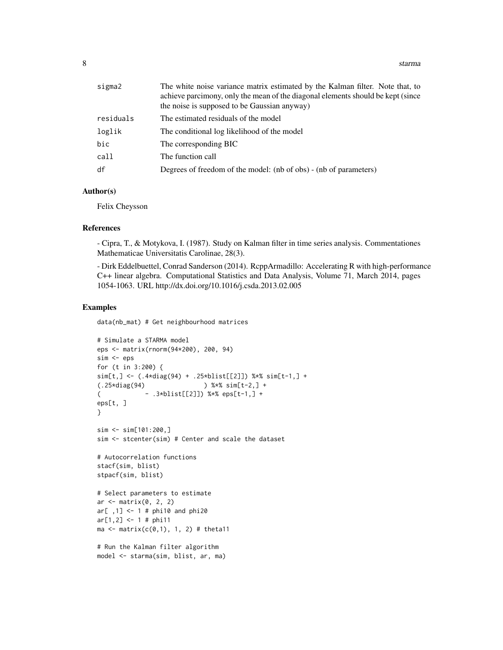| sigma2    | The white noise variance matrix estimated by the Kalman filter. Note that, to<br>achieve parcimony, only the mean of the diagonal elements should be kept (since<br>the noise is supposed to be Gaussian anyway) |
|-----------|------------------------------------------------------------------------------------------------------------------------------------------------------------------------------------------------------------------|
| residuals | The estimated residuals of the model                                                                                                                                                                             |
| loglik    | The conditional log likelihood of the model                                                                                                                                                                      |
| bic       | The corresponding BIC                                                                                                                                                                                            |
| call      | The function call                                                                                                                                                                                                |
| df        | Degrees of freedom of the model: (nb of obs) - (nb of parameters)                                                                                                                                                |

## Author(s)

Felix Cheysson

#### References

- Cipra, T., & Motykova, I. (1987). Study on Kalman filter in time series analysis. Commentationes Mathematicae Universitatis Carolinae, 28(3).

- Dirk Eddelbuettel, Conrad Sanderson (2014). RcppArmadillo: Accelerating R with high-performance C++ linear algebra. Computational Statistics and Data Analysis, Volume 71, March 2014, pages 1054-1063. URL http://dx.doi.org/10.1016/j.csda.2013.02.005

#### Examples

data(nb\_mat) # Get neighbourhood matrices

```
# Simulate a STARMA model
eps <- matrix(rnorm(94*200), 200, 94)
sim <- eps
for (t in 3:200) {
sim[t,] <- (.4*diag(94) + .25*blist[[2]]) %*% sim[t-1,] +
(.25*diag(94) ) %*% sim[t-2,] +
( - .3*blist[[2]]) %*% eps[t-1,] +
eps[t, ]
}
sim <- sim[101:200,]
sim <- stcenter(sim) # Center and scale the dataset
# Autocorrelation functions
stacf(sim, blist)
stpacf(sim, blist)
# Select parameters to estimate
ar \leq matrix(0, 2, 2)
ar[ ,1] < -1 # phi10 and phi20ar[1,2] < -1 # phi11ma \leq matrix(c(0,1), 1, 2) # theta11
# Run the Kalman filter algorithm
model <- starma(sim, blist, ar, ma)
```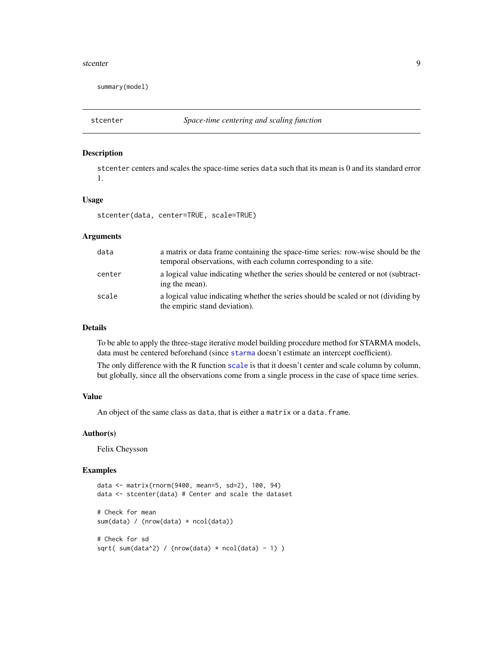#### <span id="page-8-0"></span>stcenter 9

summary(model)

<span id="page-8-1"></span>

## Description

stcenter centers and scales the space-time series data such that its mean is 0 and its standard error 1.

## Usage

stcenter(data, center=TRUE, scale=TRUE)

## Arguments

| data   | a matrix or data frame containing the space-time series: row-wise should be the<br>temporal observations, with each column corresponding to a site. |
|--------|-----------------------------------------------------------------------------------------------------------------------------------------------------|
| center | a logical value indicating whether the series should be centered or not (subtract-<br>ing the mean).                                                |
| scale  | a logical value indicating whether the series should be scaled or not (dividing by<br>the empiric stand deviation).                                 |

## Details

To be able to apply the three-stage iterative model building procedure method for STARMA models, data must be centered beforehand (since [starma](#page-5-1) doesn't estimate an intercept coefficient).

The only difference with the R function [scale](#page-0-0) is that it doesn't center and scale column by column, but globally, since all the observations come from a single process in the case of space time series.

### Value

An object of the same class as data, that is either a matrix or a data.frame.

## Author(s)

Felix Cheysson

## Examples

```
data <- matrix(rnorm(9400, mean=5, sd=2), 100, 94)
data <- stcenter(data) # Center and scale the dataset
# Check for mean
sum(data) / (nrow(data) * ncol(data))
# Check for sd
sqrt( sum(data^2) / (nrow(data) * ncol(data) - 1) )
```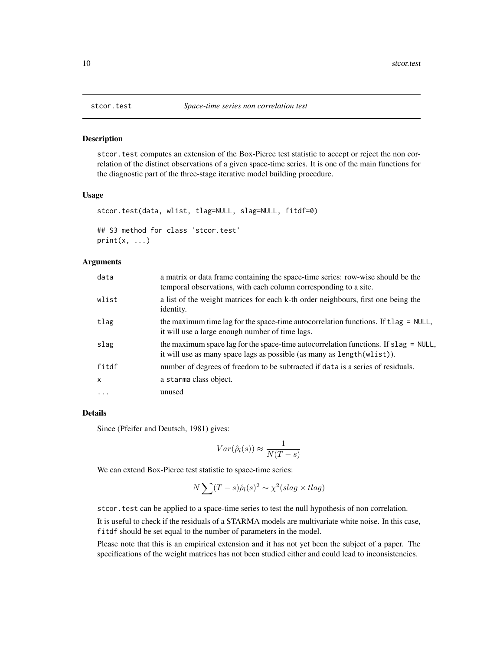<span id="page-9-1"></span><span id="page-9-0"></span>

#### Description

stcor.test computes an extension of the Box-Pierce test statistic to accept or reject the non correlation of the distinct observations of a given space-time series. It is one of the main functions for the diagnostic part of the three-stage iterative model building procedure.

#### Usage

stcor.test(data, wlist, tlag=NULL, slag=NULL, fitdf=0)

```
## S3 method for class 'stcor.test'
print(x, \ldots)
```
## Arguments

| data         | a matrix or data frame containing the space-time series: row-wise should be the<br>temporal observations, with each column corresponding to a site.              |
|--------------|------------------------------------------------------------------------------------------------------------------------------------------------------------------|
| wlist        | a list of the weight matrices for each k-th order neighbours, first one being the<br>identity.                                                                   |
| tlag         | the maximum time lag for the space-time autocorrelation functions. If $t \log = \text{NULL}$ ,<br>it will use a large enough number of time lags.                |
| slag         | the maximum space lag for the space-time autocorrelation functions. If $slag = NULL$ ,<br>it will use as many space lags as possible (as many as length(wlist)). |
| fitdf        | number of degrees of freedom to be subtracted if data is a series of residuals.                                                                                  |
| $\mathsf{x}$ | a starma class object.                                                                                                                                           |
| $\cdots$     | unused                                                                                                                                                           |

#### Details

Since (Pfeifer and Deutsch, 1981) gives:

$$
Var(\hat{\rho}_l(s)) \approx \frac{1}{N(T-s)}
$$

We can extend Box-Pierce test statistic to space-time series:

$$
N\sum (T - s)\hat{\rho}_l(s)^2 \sim \chi^2(slag \times tlag)
$$

stcor.test can be applied to a space-time series to test the null hypothesis of non correlation.

It is useful to check if the residuals of a STARMA models are multivariate white noise. In this case, fitdf should be set equal to the number of parameters in the model.

Please note that this is an empirical extension and it has not yet been the subject of a paper. The specifications of the weight matrices has not been studied either and could lead to inconsistencies.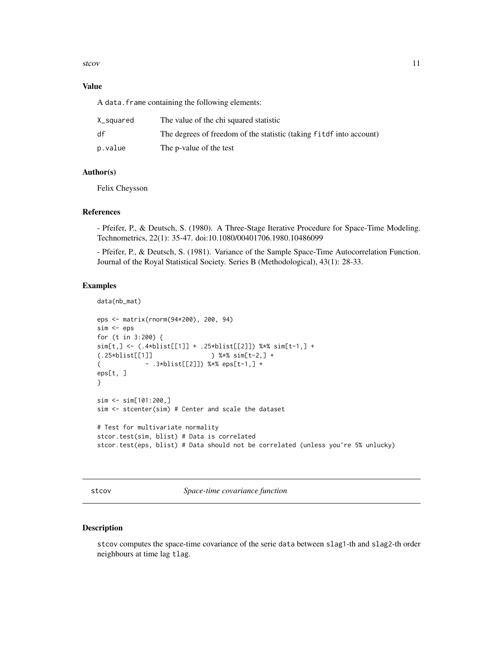#### <span id="page-10-0"></span>stcov and the steady state of the steady state of the steady state of the steady state of the steady state of the steady state of the steady state of the steady state of the steady state of the steady state of the steady s

#### Value

A data.frame containing the following elements:

| X_squared | The value of the chi squared statistic                               |
|-----------|----------------------------------------------------------------------|
| df        | The degrees of freedom of the statistic (taking fit of into account) |
| p.value   | The p-value of the test                                              |

### Author(s)

Felix Cheysson

#### References

- Pfeifer, P., & Deutsch, S. (1980). A Three-Stage Iterative Procedure for Space-Time Modeling. Technometrics, 22(1): 35-47. doi:10.1080/00401706.1980.10486099

- Pfeifer, P., & Deutsch, S. (1981). Variance of the Sample Space-Time Autocorrelation Function. Journal of the Royal Statistical Society. Series B (Methodological), 43(1): 28-33.

#### Examples

```
data(nb_mat)
eps <- matrix(rnorm(94*200), 200, 94)
sim <- eps
for (t in 3:200) {
sim[t,] <- (.4*blist[[1]] + .25*blist[[2]]) %*% sim[t-1,] +
(.25*blist[[1]] ) %*% sim[t-2,] +
( - .3*blist[[2]]) %*% eps[t-1,] +
eps[t, ]
}
sim <- sim[101:200,]
sim <- stcenter(sim) # Center and scale the dataset
# Test for multivariate normality
stcor.test(sim, blist) # Data is correlated
stcor.test(eps, blist) # Data should not be correlated (unless you're 5% unlucky)
```
stcov *Space-time covariance function*

## Description

stcov computes the space-time covariance of the serie data between slag1-th and slag2-th order neighbours at time lag tlag.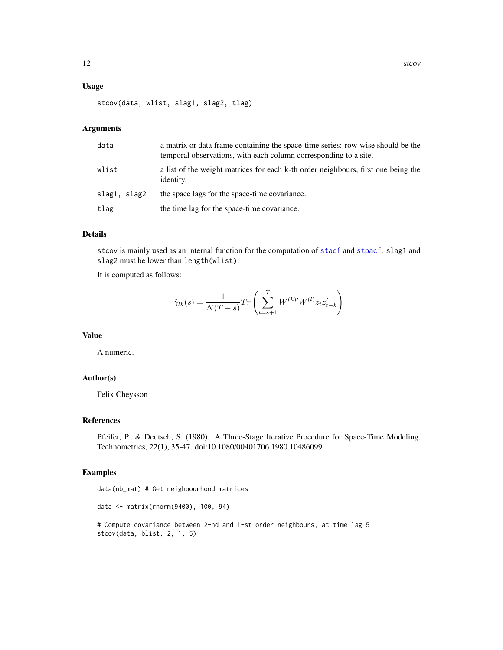## <span id="page-11-0"></span>Usage

stcov(data, wlist, slag1, slag2, tlag)

## Arguments

| data         | a matrix or data frame containing the space-time series: row-wise should be the<br>temporal observations, with each column corresponding to a site. |
|--------------|-----------------------------------------------------------------------------------------------------------------------------------------------------|
| wlist        | a list of the weight matrices for each k-th order neighbours, first one being the<br>identity.                                                      |
| slag1, slag2 | the space lags for the space-time covariance.                                                                                                       |
| tlag         | the time lag for the space-time covariance.                                                                                                         |

## Details

stcov is mainly used as an internal function for the computation of [stacf](#page-4-1) and [stpacf](#page-4-2). slag1 and slag2 must be lower than length(wlist).

It is computed as follows:

$$
\hat{\gamma}_{lk}(s) = \frac{1}{N(T-s)} Tr\left(\sum_{t=s+1}^{T} W^{(k)'} W^{(l)} z_t z'_{t-k}\right)
$$

### Value

A numeric.

## Author(s)

Felix Cheysson

## References

Pfeifer, P., & Deutsch, S. (1980). A Three-Stage Iterative Procedure for Space-Time Modeling. Technometrics, 22(1), 35-47. doi:10.1080/00401706.1980.10486099

#### Examples

```
data(nb_mat) # Get neighbourhood matrices
data <- matrix(rnorm(9400), 100, 94)
# Compute covariance between 2-nd and 1-st order neighbours, at time lag 5
stcov(data, blist, 2, 1, 5)
```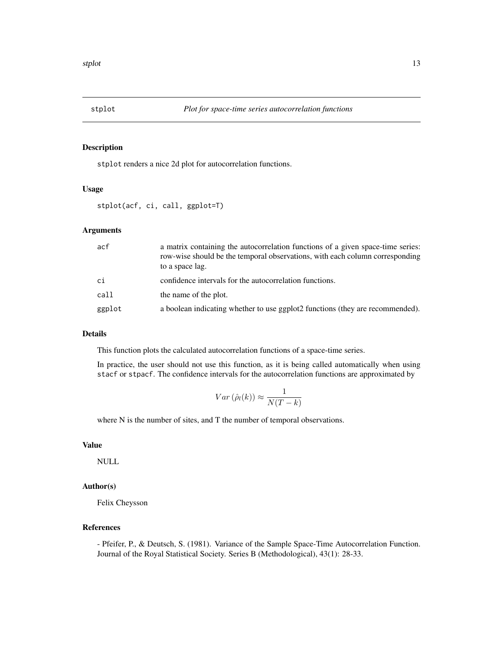<span id="page-12-0"></span>

#### Description

stplot renders a nice 2d plot for autocorrelation functions.

## Usage

stplot(acf, ci, call, ggplot=T)

## Arguments

| acf    | a matrix containing the autocorrelation functions of a given space-time series:<br>row-wise should be the temporal observations, with each column corresponding<br>to a space lag. |
|--------|------------------------------------------------------------------------------------------------------------------------------------------------------------------------------------|
| сi     | confidence intervals for the autocorrelation functions.                                                                                                                            |
| call   | the name of the plot.                                                                                                                                                              |
| ggplot | a boolean indicating whether to use ggplot2 functions (they are recommended).                                                                                                      |

## Details

This function plots the calculated autocorrelation functions of a space-time series.

In practice, the user should not use this function, as it is being called automatically when using stacf or stpacf. The confidence intervals for the autocorrelation functions are approximated by

$$
Var\left(\hat{\rho}_l(k)\right) \approx \frac{1}{N(T-k)}
$$

where N is the number of sites, and T the number of temporal observations.

## Value

NULL

## Author(s)

Felix Cheysson

## References

- Pfeifer, P., & Deutsch, S. (1981). Variance of the Sample Space-Time Autocorrelation Function. Journal of the Royal Statistical Society. Series B (Methodological), 43(1): 28-33.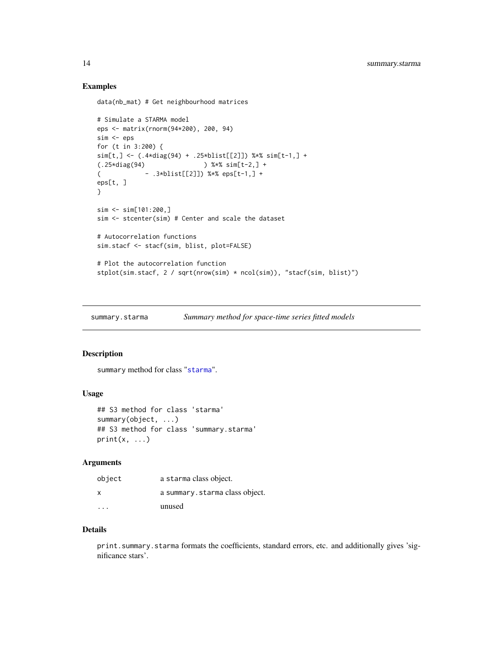## Examples

```
data(nb_mat) # Get neighbourhood matrices
```

```
# Simulate a STARMA model
eps <- matrix(rnorm(94*200), 200, 94)
sim <- eps
for (t in 3:200) {
sim[t,] <- (.4*diag(94) + .25*blist[[2]]) %*% sim[t-1,] +
(.25*diag(94) ) %*% sim[t-2,] +
( - .3*blist[[2]]) %*% eps[t-1,] +
eps[t, ]
}
sim <- sim[101:200,]
sim <- stcenter(sim) # Center and scale the dataset
# Autocorrelation functions
sim.stacf <- stacf(sim, blist, plot=FALSE)
# Plot the autocorrelation function
stplot(sim.stacf, 2 / sqrt(nrow(sim) * ncol(sim)), "stacf(sim, blist)")
```
summary.starma *Summary method for space-time series fitted models*

#### Description

summary method for class "[starma](#page-5-1)".

#### Usage

```
## S3 method for class 'starma'
summary(object, ...)
## S3 method for class 'summary.starma'
print(x, \ldots)
```
#### Arguments

| object                  | a starma class object.         |
|-------------------------|--------------------------------|
| x                       | a summary.starma class object. |
| $\cdot$ $\cdot$ $\cdot$ | unused                         |

## Details

print.summary.starma formats the coefficients, standard errors, etc. and additionally gives 'significance stars'.

<span id="page-13-0"></span>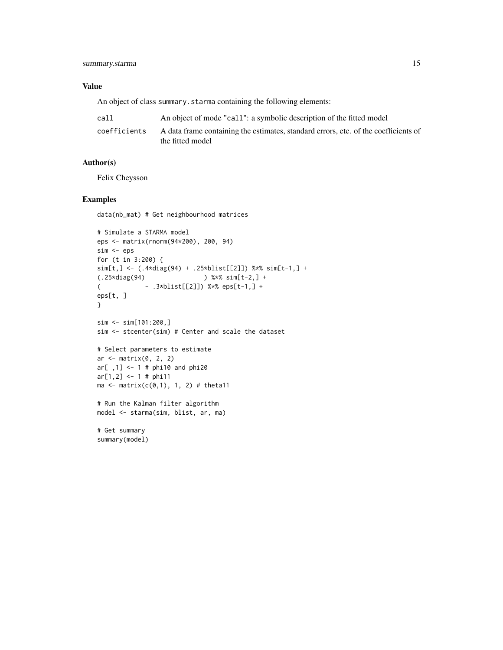### Value

An object of class summary. starma containing the following elements:

| call         | An object of mode "call": a symbolic description of the fitted model                                    |
|--------------|---------------------------------------------------------------------------------------------------------|
| coefficients | A data frame containing the estimates, standard errors, etc. of the coefficients of<br>the fitted model |

## Author(s)

Felix Cheysson

## Examples

```
data(nb_mat) # Get neighbourhood matrices
```

```
# Simulate a STARMA model
eps <- matrix(rnorm(94*200), 200, 94)
sim <- eps
for (t in 3:200) {
sim[t,] <- (.4*diag(94) + .25*blist[[2]]) %*% sim[t-1,] +
(.25*diag(94) ) %*% sim[t-2,] +
( - .3*blist[[2]]) %*% eps[t-1,] +
eps[t, ]
}
sim <- sim[101:200,]
sim <- stcenter(sim) # Center and scale the dataset
# Select parameters to estimate
ar <- matrix(0, 2, 2)
ar[ ,1] <- 1 # phi10 and phi20
ar[1,2] < -1 # phi11ma \leq matrix(c(0,1), 1, 2) # theta11
# Run the Kalman filter algorithm
model <- starma(sim, blist, ar, ma)
```
# Get summary summary(model)